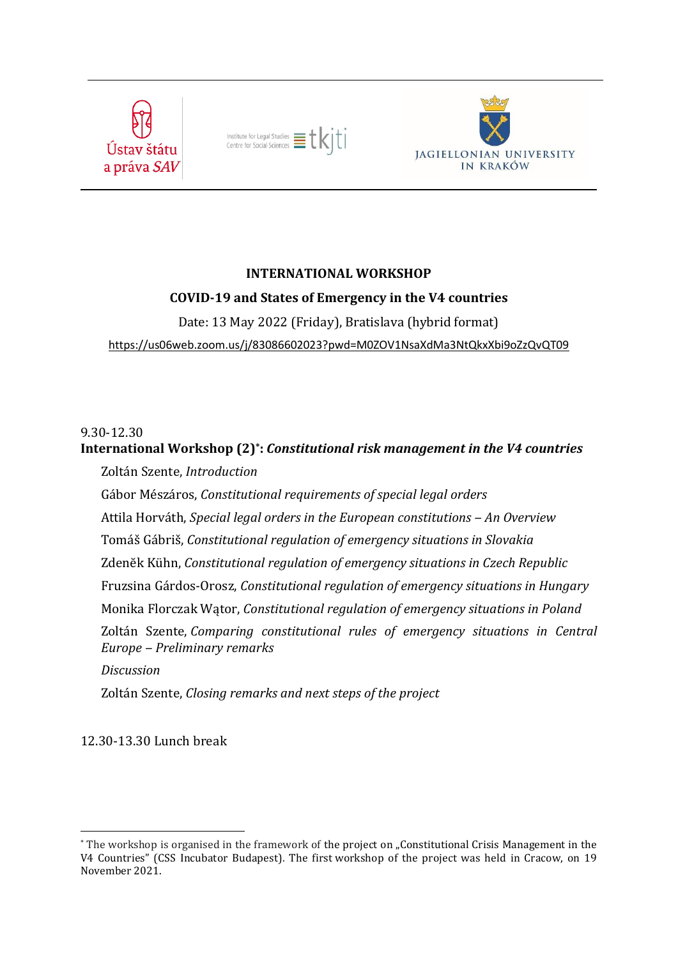





## **INTERNATIONAL WORKSHOP**

## **COVID-19 and States of Emergency in the V4 countries**

Date: 13 May 2022 (Friday), Bratislava (hybrid format)

<https://us06web.zoom.us/j/83086602023?pwd=M0ZOV1NsaXdMa3NtQkxXbi9oZzQvQT09>

## 9.30-12.30

# **International Workshop (2)\* :** *Constitutional risk management in the V4 countries*

Zoltán Szente, *Introduction* Gábor Mészáros, *Constitutional requirements of special legal orders* Attila Horváth, *Special legal orders in the European constitutions ‒ An Overview* Tomáš Gábriš, *Constitutional regulation of emergency situations in Slovakia* Zdenĕk Kühn, *Constitutional regulation of emergency situations in Czech Republic* Fruzsina Gárdos-Orosz, *Constitutional regulation of emergency situations in Hungary* Monika Florczak Wątor, *Constitutional regulation of emergency situations in Poland* Zoltán Szente, *Comparing constitutional rules of emergency situations in Central Europe ‒ Preliminary remarks Discussion*

Zoltán Szente, *Closing remarks and next steps of the project*

12.30-13.30 Lunch break

<sup>\*</sup> The workshop is organised in the framework of the project on "Constitutional Crisis Management in the V4 Countries" (CSS Incubator Budapest). The first workshop of the project was held in Cracow, on 19 November 2021.